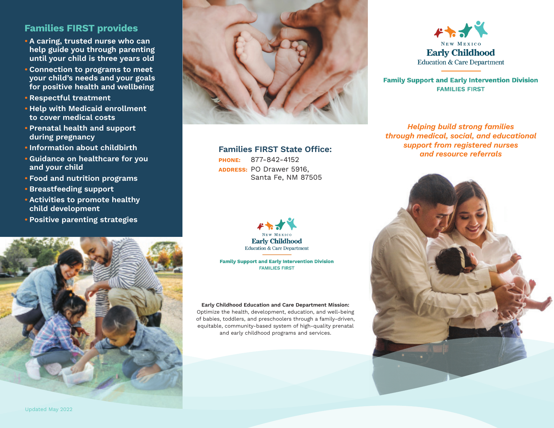## **Families FIRST provides**

- **• A caring, trusted nurse who can help guide you through parenting until your child is three years old**
- **• Connection to programs to meet your child's needs and your goals for positive health and wellbeing**
- **• Respectful treatment**
- **• Help with Medicaid enrollment to cover medical costs**
- **• Prenatal health and support during pregnancy**
- **• Information about childbirth**
- **• Guidance on healthcare for you and your child**
- **• Food and nutrition programs**
- **• Breastfeeding support**
- **• Activities to promote healthy child development**
- **• Positive parenting strategies**





### **Families FIRST State Office:**

**PHONE:** 877-842-4152 **ADDRESS:** PO Drawer 5916, Santa Fe, NM 87505



**Family Support and Early Intervention Division FAMILIES FIRST** 

#### **Early Childhood Education and Care Department Mission:**

Optimize the health, development, education, and well-being of babies, toddlers, and preschoolers through a family-driven, equitable, community-based system of high-quality prenatal and early childhood programs and services.



**Family Support and Early Intervention Division FAMILIES FIRST** 

*Helping build strong families through medical, social, and educational support from registered nurses and resource referrals*